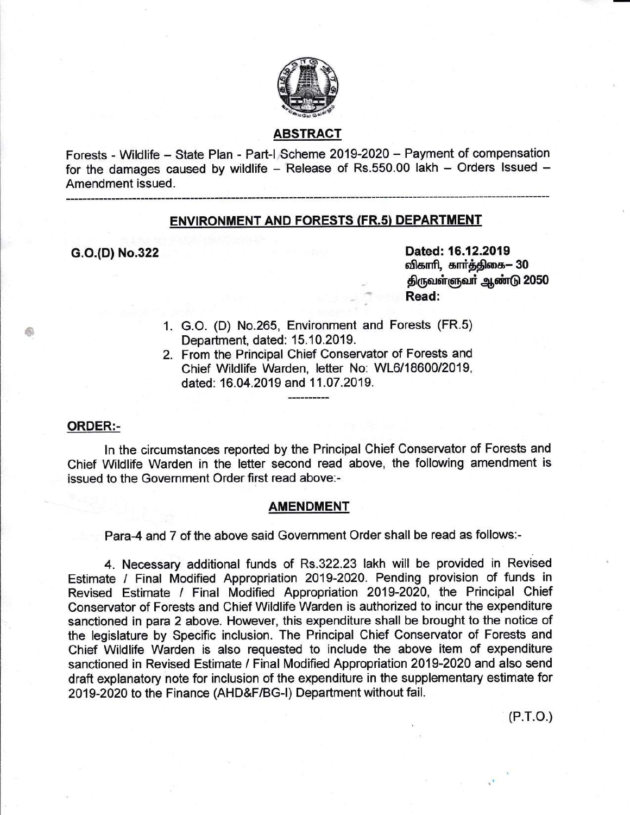

# ABSTRAGT

Forests - Wildlife - State Plan - Part-l Scheme 2019-2020 - Payment of compensation for the damages caused by wildlife - Release of Rs.550.00 lakh - Orders Issued -Amendment issued.

## ENVIRONMENT AND FORESTS (FR.s} DEPARTMENT

c.o.(D) No.322

Dated: 16.12.2019<br>விகாரி, கார்த்திகை— 30 திருவள்ளுவர் ஆண்டு 2050 Read:

- 1. G.O. (D) No.265, Environment and Forests (FR.s) Department, dated: 15.10.2019.
- 2. From the Principal Chief Conservator of Forests and Chief Wildlife Warden, letter No: WL6/18600/2019, dated: 16.04.2019 and 11.07 .2019.

#### ORDER:-

E

ln the circumstances reported by the Principal Chief Conservator of Forests and Chief Wildlife Warden in the letter second read above, the following amendment is issued to the Government Order first read above:-

## AMENDMENT

Para-4 and 7 of the above said Government Order shall be read as follows:-

4. Necessary additional funds of Rs.322.23 lakh will be provided in Revised Estimate / Final Modified Appropriation 2019-2020. Pending provision of funds in Revised Estimate / Final Modified Appropriation 2019-2020, the Principal Chief Conservator of Forests and Chief Wildlife Warden is authorized to incur the expenditure sanctioned in para 2 above. However, this expenditure shall be brought to the notice of the legislature by Specific inclusion. The Principal Chief Conservator of Forests and Chief Wildlife Warden is also requested to include the above item of expenditure sanctioned in Revised Estimate / Final Modified Appropriation 2019-2020 and also send draft explanatory note for inclusion of the expenditure in the supplementary estimate for 2019-2020 to the Finance (AHD&F/BG-|) Department without fail.

 $(P.T.O.)$